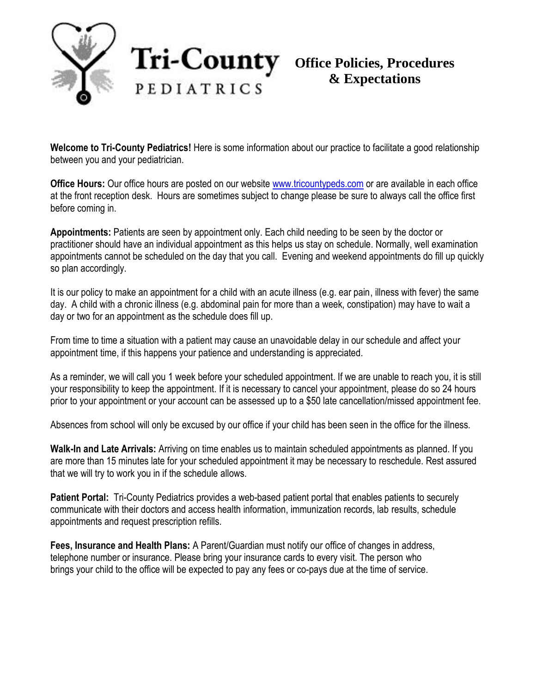

## **Office Policies, Procedures & Expectations**

**Welcome to Tri-County Pediatrics!** Here is some information about our practice to facilitate a good relationship between you and your pediatrician.

**Office Hours:** Our office hours are posted on our website [www.tricountypeds.com](http://www.tricountypeds.com/) or are available in each office at the front reception desk. Hours are sometimes subject to change please be sure to always call the office first before coming in.

**Appointments:** Patients are seen by appointment only. Each child needing to be seen by the doctor or practitioner should have an individual appointment as this helps us stay on schedule. Normally, well examination appointments cannot be scheduled on the day that you call. Evening and weekend appointments do fill up quickly so plan accordingly.

It is our policy to make an appointment for a child with an acute illness (e.g. ear pain, illness with fever) the same day. A child with a chronic illness (e.g. abdominal pain for more than a week, constipation) may have to wait a day or two for an appointment as the schedule does fill up.

From time to time a situation with a patient may cause an unavoidable delay in our schedule and affect your appointment time, if this happens your patience and understanding is appreciated.

As a reminder, we will call you 1 week before your scheduled appointment. If we are unable to reach you, it is still your responsibility to keep the appointment. If it is necessary to cancel your appointment, please do so 24 hours prior to your appointment or your account can be assessed up to a \$50 late cancellation/missed appointment fee.

Absences from school will only be excused by our office if your child has been seen in the office for the illness.

**Walk-In and Late Arrivals:** Arriving on time enables us to maintain scheduled appointments as planned. If you are more than 15 minutes late for your scheduled appointment it may be necessary to reschedule. Rest assured that we will try to work you in if the schedule allows.

**Patient Portal:** Tri-County Pediatrics provides a web-based patient portal that enables patients to securely communicate with their doctors and access health information, immunization records, lab results, schedule appointments and request prescription refills.

**Fees, Insurance and Health Plans:** A Parent/Guardian must notify our office of changes in address, telephone number or insurance. Please bring your insurance cards to every visit. The person who brings your child to the office will be expected to pay any fees or co-pays due at the time of service.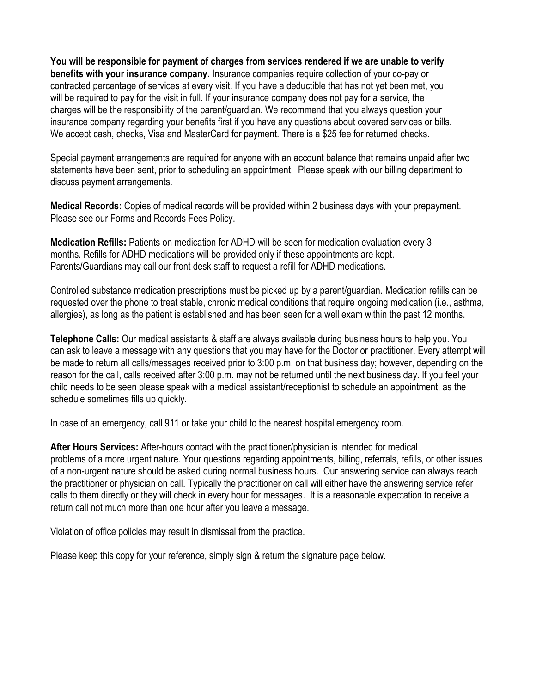**You will be responsible for payment of charges from services rendered if we are unable to verify benefits with your insurance company.** Insurance companies require collection of your co-pay or contracted percentage of services at every visit. If you have a deductible that has not yet been met, you will be required to pay for the visit in full. If your insurance company does not pay for a service, the charges will be the responsibility of the parent/guardian. We recommend that you always question your insurance company regarding your benefits first if you have any questions about covered services or bills. We accept cash, checks, Visa and MasterCard for payment. There is a \$25 fee for returned checks.

Special payment arrangements are required for anyone with an account balance that remains unpaid after two statements have been sent, prior to scheduling an appointment. Please speak with our billing department to discuss payment arrangements.

**Medical Records:** Copies of medical records will be provided within 2 business days with your prepayment. Please see our Forms and Records Fees Policy.

**Medication Refills:** Patients on medication for ADHD will be seen for medication evaluation every 3 months. Refills for ADHD medications will be provided only if these appointments are kept. Parents/Guardians may call our front desk staff to request a refill for ADHD medications.

Controlled substance medication prescriptions must be picked up by a parent/guardian. Medication refills can be requested over the phone to treat stable, chronic medical conditions that require ongoing medication (i.e., asthma, allergies), as long as the patient is established and has been seen for a well exam within the past 12 months.

**Telephone Calls:** Our medical assistants & staff are always available during business hours to help you. You can ask to leave a message with any questions that you may have for the Doctor or practitioner. Every attempt will be made to return all calls/messages received prior to 3:00 p.m. on that business day; however, depending on the reason for the call, calls received after 3:00 p.m. may not be returned until the next business day. If you feel your child needs to be seen please speak with a medical assistant/receptionist to schedule an appointment, as the schedule sometimes fills up quickly.

In case of an emergency, call 911 or take your child to the nearest hospital emergency room.

**After Hours Services:** After-hours contact with the practitioner/physician is intended for medical problems of a more urgent nature. Your questions regarding appointments, billing, referrals, refills, or other issues of a non-urgent nature should be asked during normal business hours. Our answering service can always reach the practitioner or physician on call. Typically the practitioner on call will either have the answering service refer calls to them directly or they will check in every hour for messages. It is a reasonable expectation to receive a return call not much more than one hour after you leave a message.

Violation of office policies may result in dismissal from the practice.

Please keep this copy for your reference, simply sign & return the signature page below.